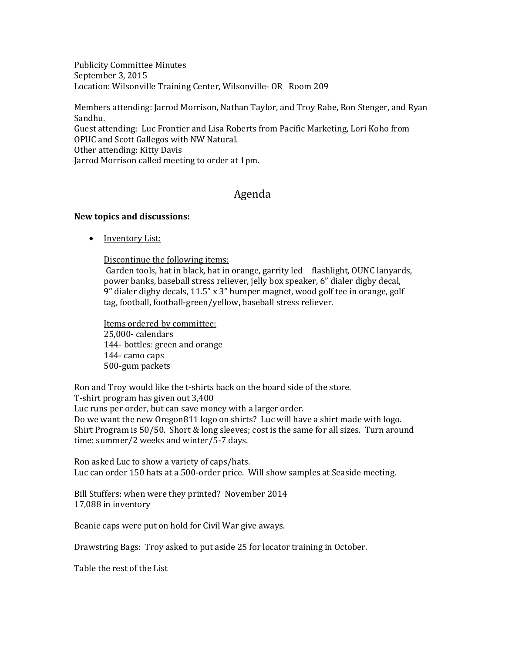Publicity Committee Minutes September 3, 2015 Location: Wilsonville Training Center, Wilsonville- OR Room 209

Members attending: Jarrod Morrison, Nathan Taylor, and Troy Rabe, Ron Stenger, and Ryan Sandhu. Guest attending: Luc Frontier and Lisa Roberts from Pacific Marketing, Lori Koho from OPUC and Scott Gallegos with NW Natural. Other attending: Kitty Davis Jarrod Morrison called meeting to order at 1pm.

# Agenda

### **New topics and discussions:**

• Inventory List:

Discontinue the following items:

Garden tools, hat in black, hat in orange, garrity led flashlight, OUNC lanyards, power banks, baseball stress reliever, jelly box speaker, 6" dialer digby decal, 9" dialer digby decals, 11.5" x 3" bumper magnet, wood golf tee in orange, golf tag, football, football-green/yellow, baseball stress reliever.

Items ordered by committee: 25,000- calendars 144- bottles: green and orange 144- camo caps 500-gum packets

Ron and Troy would like the t-shirts back on the board side of the store. T-shirt program has given out 3,400 Luc runs per order, but can save money with a larger order. Do we want the new Oregon811 logo on shirts? Luc will have a shirt made with logo. Shirt Program is 50/50. Short & long sleeves; cost is the same for all sizes. Turn around time: summer/2 weeks and winter/5-7 days.

Ron asked Luc to show a variety of caps/hats. Luc can order 150 hats at a 500-order price. Will show samples at Seaside meeting.

Bill Stuffers: when were they printed? November 2014 17,088 in inventory

Beanie caps were put on hold for Civil War give aways.

Drawstring Bags: Troy asked to put aside 25 for locator training in October.

Table the rest of the List